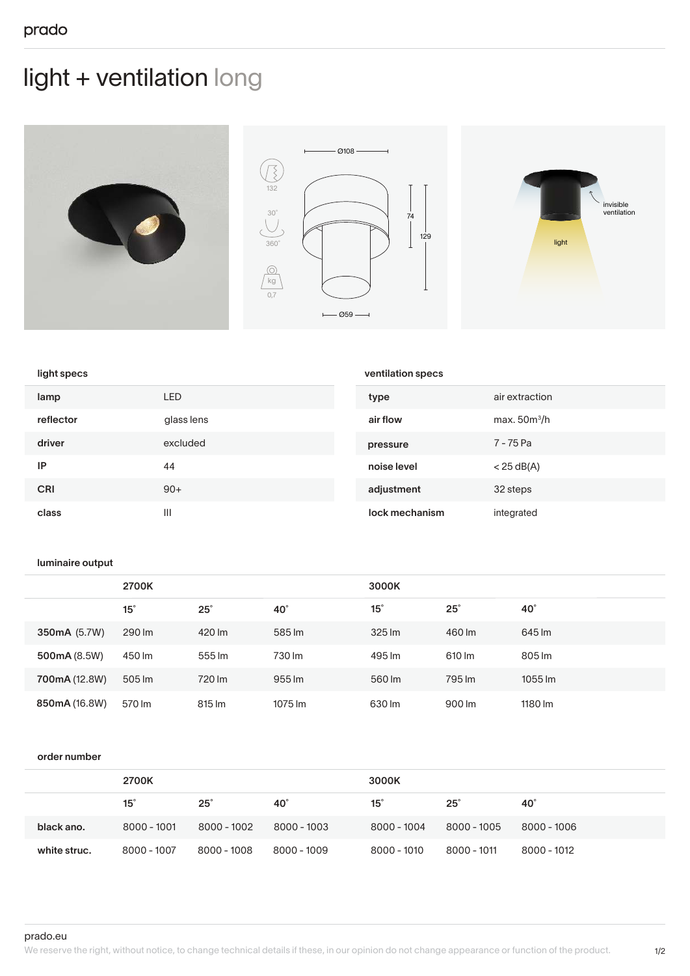# light + ventilation long







## light specs

| lamp       | LED        | type           | air extraction |
|------------|------------|----------------|----------------|
| reflector  | glass lens | air flow       | max. $50m^3/h$ |
| driver     | excluded   | pressure       | 7 - 75 Pa      |
| IP         | 44         | noise level    | $<$ 25 dB(A)   |
| <b>CRI</b> | $90+$      | adjustment     | 32 steps       |
| class      | Ш          | lock mechanism | integrated     |

ventilation specs

#### luminaire output

|               | 2700K      |            | 3000K      |            |            |                    |
|---------------|------------|------------|------------|------------|------------|--------------------|
|               | $15^\circ$ | $25^\circ$ | $40^\circ$ | $15^\circ$ | $25^\circ$ | $40^\circ$         |
| 350mA (5.7W)  | 290 lm     | 420 lm     | 585 lm     | 325 lm     | 460 lm     | 645 lm             |
| 500mA (8.5W)  | 450 lm     | 555 lm     | 730 lm     | 495 lm     | 610 lm     | 805 lm             |
| 700mA (12.8W) | 505 lm     | 720 lm     | 955 lm     | 560 lm     | 795 lm     | $1055$ $\text{Im}$ |
| 850mA (16.8W) | 570 lm     | 815 lm     | 1075 lm    | 630 lm     | 900 lm     | 1180 lm            |

#### order number

|              | 2700K         |             |             | 3000K         |             |             |
|--------------|---------------|-------------|-------------|---------------|-------------|-------------|
|              | $15^\circ$    | $25^\circ$  | 40°         | $15^\circ$    | $25^\circ$  | 40°         |
| black ano.   | $8000 - 1001$ | 8000 - 1002 | 8000 - 1003 | $8000 - 1004$ | 8000 - 1005 | 8000 - 1006 |
| white struc. | 8000 - 1007   | 8000 - 1008 | 8000 - 1009 | 8000 - 1010   | 8000 - 1011 | 8000 - 1012 |

prado.eu